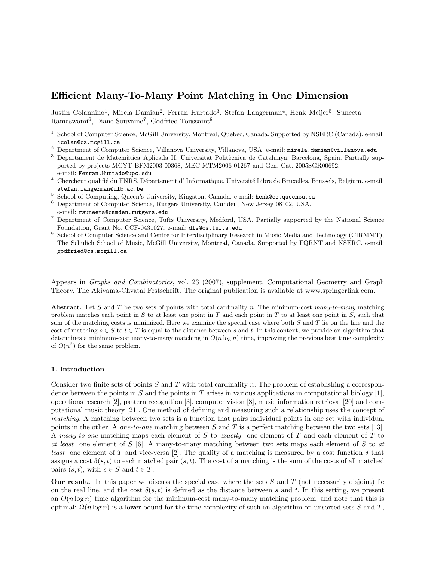# Efficient Many-To-Many Point Matching in One Dimension

Justin Colannino<sup>1</sup>, Mirela Damian<sup>2</sup>, Ferran Hurtado<sup>3</sup>, Stefan Langerman<sup>4</sup>, Henk Meijer<sup>5</sup>, Suneeta Ramaswami<sup>6</sup>, Diane Souvaine<sup>7</sup>, Godfried Toussaint<sup>8</sup>

- <sup>1</sup> School of Computer Science, McGill University, Montreal, Quebec, Canada. Supported by NSERC (Canada). e-mail: jcolan@cs.mcgill.ca
- <sup>2</sup> Department of Computer Science, Villanova University, Villanova, USA. e-mail: mirela.damian@villanova.edu
- <sup>3</sup> Departament de Matemàtica Aplicada II, Universitat Politècnica de Catalunya, Barcelona, Spain. Partially supported by projects MCYT BFM2003-00368, MEC MTM2006-01267 and Gen. Cat. 2005SGR00692. e-mail: Ferran.Hurtado@upc.edu
- $^4\;$  Chercheur qualifié du FNRS, Département d' Informatique, Université Libre de Bruxelles, Brussels, Belgium. e-mail: stefan.langerman@ulb.ac.be
- <sup>5</sup> School of Computing, Queen's University, Kingston, Canada. e-mail: henk@cs.queensu.ca
- <sup>6</sup> Department of Computer Science, Rutgers University, Camden, New Jersey 08102, USA.
- e-mail: rsuneeta@camden.rutgers.edu
- <sup>7</sup> Department of Computer Science, Tufts University, Medford, USA. Partially supported by the National Science Foundation, Grant No. CCF-0431027. e-mail: dls@cs.tufts.edu
- <sup>8</sup> School of Computer Science and Centre for Interdisciplinary Research in Music Media and Technology (CIRMMT), The Schulich School of Music, McGill University, Montreal, Canada. Supported by FQRNT and NSERC. e-mail: godfried@cs.mcgill.ca

Appears in Graphs and Combinatorics, vol. 23 (2007), supplement, Computational Geometry and Graph Theory. The Akiyama-Chvatal Festschrift. The original publication is available at www.springerlink.com.

Abstract. Let S and T be two sets of points with total cardinality n. The minimum-cost many-to-many matching problem matches each point in  $S$  to at least one point in  $T$  and each point in  $T$  to at least one point in  $S$ , such that sum of the matching costs is minimized. Here we examine the special case where both  $S$  and  $T$  lie on the line and the cost of matching  $s \in S$  to  $t \in T$  is equal to the distance between s and t. In this context, we provide an algorithm that determines a minimum-cost many-to-many matching in  $O(n \log n)$  time, improving the previous best time complexity of  $O(n^2)$  for the same problem.

## 1. Introduction

Consider two finite sets of points  $S$  and  $T$  with total cardinality n. The problem of establishing a correspondence between the points in  $S$  and the points in  $T$  arises in various applications in computational biology [1], operations research [2], pattern recognition [3], computer vision [8], music information retrieval [20] and computational music theory [21]. One method of defining and measuring such a relationship uses the concept of matching. A matching between two sets is a function that pairs individual points in one set with individual points in the other. A one-to-one matching between S and T is a perfect matching between the two sets [13]. A many-to-one matching maps each element of S to exactly one element of T and each element of T to at least one element of S  $[6]$ . A many-to-many matching between two sets maps each element of S to at *least* one element of T and vice-versa [2]. The quality of a matching is measured by a cost function  $\delta$  that assigns a cost  $\delta(s,t)$  to each matched pair  $(s,t)$ . The cost of a matching is the sum of the costs of all matched pairs  $(s, t)$ , with  $s \in S$  and  $t \in T$ .

**Our result.** In this paper we discuss the special case where the sets  $S$  and  $T$  (not necessarily disjoint) lie on the real line, and the cost  $\delta(s,t)$  is defined as the distance between s and t. In this setting, we present an  $O(n \log n)$  time algorithm for the minimum-cost many-to-many matching problem, and note that this is optimal:  $\Omega(n \log n)$  is a lower bound for the time complexity of such an algorithm on unsorted sets S and T,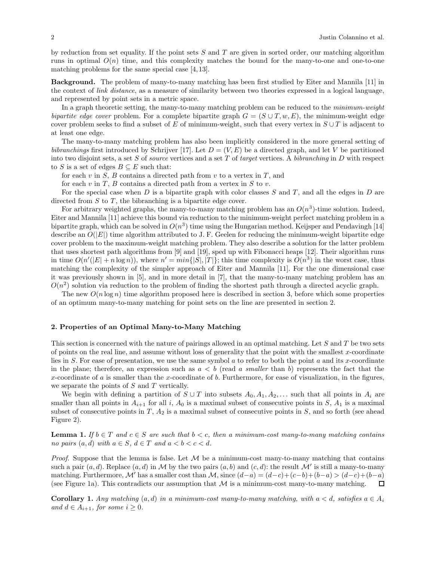by reduction from set equality. If the point sets  $S$  and  $T$  are given in sorted order, our matching algorithm runs in optimal  $O(n)$  time, and this complexity matches the bound for the many-to-one and one-to-one matching problems for the same special case [4,13].

Background. The problem of many-to-many matching has been first studied by Eiter and Mannila [11] in the context of link distance, as a measure of similarity between two theories expressed in a logical language, and represented by point sets in a metric space.

In a graph theoretic setting, the many-to-many matching problem can be reduced to the *minimum-weight* bipartite edge cover problem. For a complete bipartite graph  $G = (S \cup T, w, E)$ , the minimum-weight edge cover problem seeks to find a subset of E of minimum-weight, such that every vertex in  $S \cup T$  is adjacent to at least one edge.

The many-to-many matching problem has also been implicitly considered in the more general setting of bibranchings first introduced by Schrijver [17]. Let  $D = (V, E)$  be a directed graph, and let V be partitioned into two disjoint sets, a set S of *source* vertices and a set T of *target* vertices. A *bibranching* in D with respect to S is a set of edges  $B \subseteq E$  such that:

for each v in  $S$ ,  $B$  contains a directed path from v to a vertex in  $T$ , and

for each  $v$  in  $T$ ,  $B$  contains a directed path from a vertex in  $S$  to  $v$ .

For the special case when D is a bipartite graph with color classes S and T, and all the edges in D are directed from  $S$  to  $T$ , the bibranching is a bipartite edge cover.

For arbitrary weighted graphs, the many-to-many matching problem has an  $O(n^3)$ -time solution. Indeed, Eiter and Mannila [11] achieve this bound via reduction to the minimum-weight perfect matching problem in a bipartite graph, which can be solved in  $O(n^3)$  time using the Hungarian method. Keijsper and Pendavingh [14] describe an  $O(|E|)$  time algorithm attributed to J. F. Geelen for reducing the minimum-weight bipartite edge cover problem to the maximum-weight matching problem. They also describe a solution for the latter problem that uses shortest path algorithms from [9] and [19], sped up with Fibonacci heaps [12]. Their algorithm runs in time  $O(n'(|E| + n \log n))$ , where  $n' = min\{|S|, |T|\}$ ; this time complexity is  $O(n^3)$  in the worst case, thus matching the complexity of the simpler approach of Eiter and Mannila [11]. For the one dimensional case it was previously shown in [5], and in more detail in [7], that the many-to-many matching problem has an  $O(n^2)$  solution via reduction to the problem of finding the shortest path through a directed acyclic graph.

The new  $O(n \log n)$  time algorithm proposed here is described in section 3, before which some properties of an optimum many-to-many matching for point sets on the line are presented in section 2.

## 2. Properties of an Optimal Many-to-Many Matching

This section is concerned with the nature of pairings allowed in an optimal matching. Let S and T be two sets of points on the real line, and assume without loss of generality that the point with the smallest x-coordinate lies in S. For ease of presentation, we use the same symbol a to refer to both the point a and its x-coordinate in the plane; therefore, an expression such as  $a < b$  (read a smaller than b) represents the fact that the x-coordinate of  $a$  is smaller than the x-coordinate of  $b$ . Furthermore, for ease of visualization, in the figures, we separate the points of  $S$  and  $T$  vertically.

We begin with defining a partition of  $S \cup T$  into subsets  $A_0, A_1, A_2, \ldots$  such that all points in  $A_i$  are smaller than all points in  $A_{i+1}$  for all i,  $A_0$  is a maximal subset of consecutive points in S,  $A_1$  is a maximal subset of consecutive points in  $T$ ,  $A_2$  is a maximal subset of consecutive points in  $S$ , and so forth (see ahead Figure 2).

**Lemma 1.** If  $b \in T$  and  $c \in S$  are such that  $b < c$ , then a minimum-cost many-to-many matching contains no pairs  $(a, d)$  with  $a \in S$ ,  $d \in T$  and  $a < b < c < d$ .

*Proof.* Suppose that the lemma is false. Let  $M$  be a minimum-cost many-to-many matching that contains such a pair  $(a, d)$ . Replace  $(a, d)$  in M by the two pairs  $(a, b)$  and  $(c, d)$ : the result  $\mathcal{M}'$  is still a many-to-many matching. Furthermore, M' has a smaller cost than M, since  $(d-a) = (d-c)+(c-b)+(b-a) > (d-c)+(b-a)$ (see Figure 1a). This contradicts our assumption that  $\mathcal M$  is a minimum-cost many-to-many matching.  $\Box$ 

**Corollary 1.** Any matching  $(a, d)$  in a minimum-cost many-to-many matching, with  $a < d$ , satisfies  $a \in A_i$ and  $d \in A_{i+1}$ , for some  $i \geq 0$ .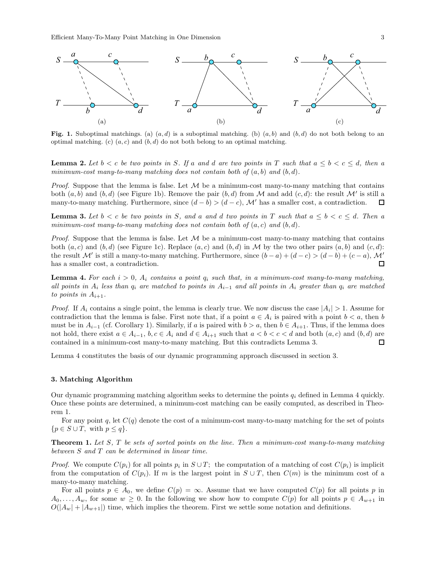

Fig. 1. Suboptimal matchings. (a)  $(a, d)$  is a suboptimal matching. (b)  $(a, b)$  and  $(b, d)$  do not both belong to an optimal matching. (c)  $(a, c)$  and  $(b, d)$  do not both belong to an optimal matching.

**Lemma 2.** Let  $b < c$  be two points in S. If a and d are two points in T such that  $a \leq b < c \leq d$ , then a minimum-cost many-to-many matching does not contain both of  $(a, b)$  and  $(b, d)$ .

*Proof.* Suppose that the lemma is false. Let  $M$  be a minimum-cost many-to-many matching that contains both  $(a, b)$  and  $(b, d)$  (see Figure 1b). Remove the pair  $(b, d)$  from M and add  $(c, d)$ : the result M' is still a many-to-many matching. Furthermore, since  $(d - b) > (d - c)$ , M' has a smaller cost, a contradiction.  $\Box$ 

**Lemma 3.** Let  $b < c$  be two points in S, and a and d two points in T such that  $a \leq b < c \leq d$ . Then a minimum-cost many-to-many matching does not contain both of  $(a, c)$  and  $(b, d)$ .

*Proof.* Suppose that the lemma is false. Let  $M$  be a minimum-cost many-to-many matching that contains both  $(a, c)$  and  $(b, d)$  (see Figure 1c). Replace  $(a, c)$  and  $(b, d)$  in M by the two other pairs  $(a, b)$  and  $(c, d)$ : the result M' is still a many-to-many matching. Furthermore, since  $(b-a)+(d-c)>(d-b)+(c-a)$ , M' has a smaller cost, a contradiction.  $\Box$ 

**Lemma 4.** For each  $i > 0$ ,  $A_i$  contains a point  $q_i$  such that, in a minimum-cost many-to-many matching, all points in  $A_i$  less than  $q_i$  are matched to points in  $A_{i-1}$  and all points in  $A_i$  greater than  $q_i$  are matched to points in  $A_{i+1}$ .

*Proof.* If  $A_i$  contains a single point, the lemma is clearly true. We now discuss the case  $|A_i| > 1$ . Assume for contradiction that the lemma is false. First note that, if a point  $a \in A_i$  is paired with a point  $b < a$ , then b must be in  $A_{i-1}$  (cf. Corollary 1). Similarly, if a is paired with  $b > a$ , then  $b \in A_{i+1}$ . Thus, if the lemma does not hold, there exist  $a \in A_{i-1}$ ,  $b, c \in A_i$  and  $d \in A_{i+1}$  such that  $a < b < c < d$  and both  $(a, c)$  and  $(b, d)$  are contained in a minimum-cost many-to-many matching. But this contradicts Lemma 3.  $\Box$ 

Lemma 4 constitutes the basis of our dynamic programming approach discussed in section 3.

#### 3. Matching Algorithm

Our dynamic programming matching algorithm seeks to determine the points  $q_i$  defined in Lemma 4 quickly. Once these points are determined, a minimum-cost matching can be easily computed, as described in Theorem 1.

For any point q, let  $C(q)$  denote the cost of a minimum-cost many-to-many matching for the set of points  ${p \in S \cup T, \text{ with } p \leq q}.$ 

**Theorem 1.** Let S, T be sets of sorted points on the line. Then a minimum-cost many-to-many matching between S and T can be determined in linear time.

*Proof.* We compute  $C(p_i)$  for all points  $p_i$  in  $S \cup T$ ; the computation of a matching of cost  $C(p_i)$  is implicit from the computation of  $C(p_i)$ . If m is the largest point in  $S \cup T$ , then  $C(m)$  is the minimum cost of a many-to-many matching.

For all points  $p \in A_0$ , we define  $C(p) = \infty$ . Assume that we have computed  $C(p)$  for all points p in  $A_0, \ldots, A_w$ , for some  $w \geq 0$ . In the following we show how to compute  $C(p)$  for all points  $p \in A_{w+1}$  in  $O(|A_w| + |A_{w+1}|)$  time, which implies the theorem. First we settle some notation and definitions.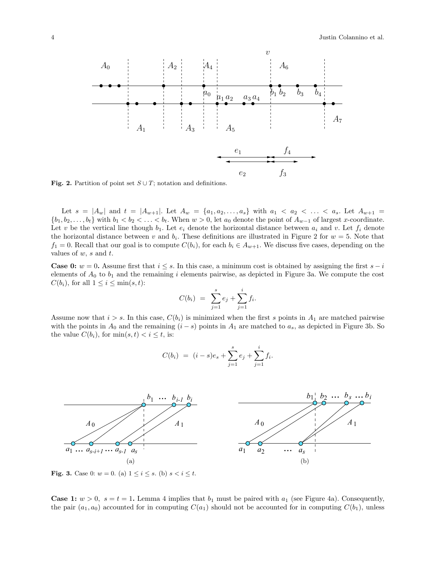

Fig. 2. Partition of point set  $S \cup T$ ; notation and definitions.

Let  $s = |A_w|$  and  $t = |A_{w+1}|$ . Let  $A_w = \{a_1, a_2, \ldots, a_s\}$  with  $a_1 < a_2 < \ldots < a_s$ . Let  $A_{w+1} =$  ${b_1, b_2, \ldots, b_t}$  with  $b_1 < b_2 < \ldots < b_t$ . When  $w > 0$ , let  $a_0$  denote the point of  $A_{w-1}$  of largest x-coordinate. Let v be the vertical line though  $b_1$ . Let  $e_i$  denote the horizontal distance between  $a_i$  and v. Let  $f_i$  denote the horizontal distance between v and  $b_i$ . These definitions are illustrated in Figure 2 for  $w = 5$ . Note that  $f_1 = 0$ . Recall that our goal is to compute  $C(b_i)$ , for each  $b_i \in A_{w+1}$ . We discuss five cases, depending on the values of  $w$ ,  $s$  and  $t$ .

**Case 0:**  $w = 0$ . Assume first that  $i \leq s$ . In this case, a minimum cost is obtained by assigning the first  $s - i$ elements of  $A_0$  to  $b_1$  and the remaining i elements pairwise, as depicted in Figure 3a. We compute the cost  $C(b_i)$ , for all  $1 \leq i \leq \min(s, t)$ :

$$
C(b_i) = \sum_{j=1}^{s} e_j + \sum_{j=1}^{i} f_i.
$$

Assume now that  $i > s$ . In this case,  $C(b_i)$  is minimized when the first s points in  $A_1$  are matched pairwise with the points in  $A_0$  and the remaining  $(i - s)$  points in  $A_1$  are matched to  $a_s$ , as depicted in Figure 3b. So the value  $C(b_i)$ , for  $\min(s,t) < i \leq t$ , is:

$$
C(b_i) = (i - s)e_s + \sum_{j=1}^{s} e_j + \sum_{j=1}^{i} f_i.
$$



**Fig. 3.** Case 0:  $w = 0$ . (a)  $1 \le i \le s$ . (b)  $s < i \le t$ .

**Case 1:**  $w > 0$ ,  $s = t = 1$ . Lemma 4 implies that  $b_1$  must be paired with  $a_1$  (see Figure 4a). Consequently, the pair  $(a_1, a_0)$  accounted for in computing  $C(a_1)$  should not be accounted for in computing  $C(b_1)$ , unless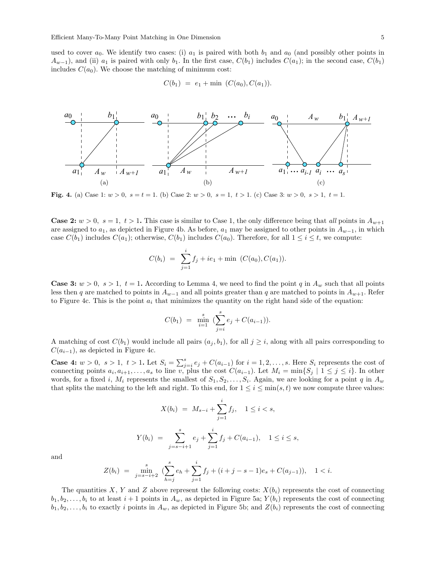used to cover  $a_0$ . We identify two cases: (i)  $a_1$  is paired with both  $b_1$  and  $a_0$  (and possibly other points in  $A_{w-1}$ , and (ii)  $a_1$  is paired with only  $b_1$ . In the first case,  $C(b_1)$  includes  $C(a_1)$ ; in the second case,  $C(b_1)$ includes  $C(a_0)$ . We choose the matching of minimum cost:

$$
C(b_1) = e_1 + \min (C(a_0), C(a_1)).
$$



**Fig. 4.** (a) Case 1:  $w > 0$ ,  $s = t = 1$ . (b) Case 2:  $w > 0$ ,  $s = 1$ ,  $t > 1$ . (c) Case 3:  $w > 0$ ,  $s > 1$ ,  $t = 1$ .

**Case 2:**  $w > 0$ ,  $s = 1$ ,  $t > 1$ . This case is similar to Case 1, the only difference being that all points in  $A_{w+1}$ are assigned to  $a_1$ , as depicted in Figure 4b. As before,  $a_1$  may be assigned to other points in  $A_{w-1}$ , in which case  $C(b_1)$  includes  $C(a_1)$ ; otherwise,  $C(b_1)$  includes  $C(a_0)$ . Therefore, for all  $1 \leq i \leq t$ , we compute:

$$
C(b_i) = \sum_{j=1}^{i} f_j + ie_1 + \min (C(a_0), C(a_1)).
$$

**Case 3:**  $w > 0$ ,  $s > 1$ ,  $t = 1$ . According to Lemma 4, we need to find the point q in  $A_w$  such that all points less then q are matched to points in  $A_{w-1}$  and all points greater than q are matched to points in  $A_{w+1}$ . Refer to Figure 4c. This is the point  $a_i$  that minimizes the quantity on the right hand side of the equation:

$$
C(b_1) = \min_{i=1}^s \big(\sum_{j=i}^s e_j + C(a_{i-1})\big).
$$

A matching of cost  $C(b_1)$  would include all pairs  $(a_j, b_1)$ , for all  $j \geq i$ , along with all pairs corresponding to  $C(a_{i-1})$ , as depicted in Figure 4c.

**Case 4:**  $w > 0$ ,  $s > 1$ ,  $t > 1$ . Let  $S_i = \sum_{j=i}^{s} e_j + C(a_{i-1})$  for  $i = 1, 2, ..., s$ . Here  $S_i$  represents the cost of connecting points  $a_i, a_{i+1}, \ldots, a_s$  to line v, plus the cost  $C(a_{i-1})$ . Let  $M_i = \min\{S_j \mid 1 \leq j \leq i\}$ . In other words, for a fixed i,  $M_i$  represents the smallest of  $S_1, S_2, \ldots, S_i$ . Again, we are looking for a point q in  $A_w$ that splits the matching to the left and right. To this end, for  $1 \leq i \leq \min(s, t)$  we now compute three values:

$$
X(b_i) = M_{s-i} + \sum_{j=1}^{i} f_j, \quad 1 \le i < s,
$$

$$
Y(b_i) = \sum_{j=s-i+1}^{s} e_j + \sum_{j=1}^{i} f_j + C(a_{i-1}), \quad 1 \le i \le s,
$$

and

$$
Z(b_i) = \min_{j=s-i+2} \left( \sum_{h=j}^{s} e_h + \sum_{j=1}^{i} f_j + (i+j-s-1)e_s + C(a_{j-1}), \quad 1 < i.
$$

The quantities X, Y and Z above represent the following costs:  $X(b_i)$  represents the cost of connecting  $b_1, b_2, \ldots, b_i$  to at least  $i + 1$  points in  $A_w$ , as depicted in Figure 5a;  $Y(b_i)$  represents the cost of connecting  $b_1, b_2, \ldots, b_i$  to exactly i points in  $A_w$ , as depicted in Figure 5b; and  $Z(b_i)$  represents the cost of connecting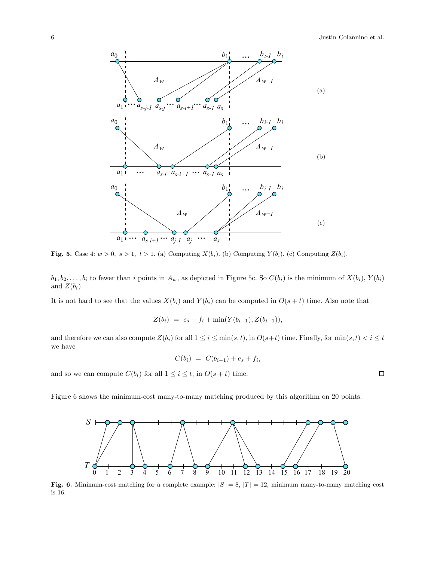

**Fig. 5.** Case 4:  $w > 0$ ,  $s > 1$ ,  $t > 1$ . (a) Computing  $X(b_i)$ . (b) Computing  $Y(b_i)$ . (c) Computing  $Z(b_i)$ .

 $b_1, b_2, \ldots, b_i$  to fewer than i points in  $A_w$ , as depicted in Figure 5c. So  $C(b_i)$  is the minimum of  $X(b_i)$ ,  $Y(b_i)$ and  $Z(b_i)$ .

It is not hard to see that the values  $X(b_i)$  and  $Y(b_i)$  can be computed in  $O(s+t)$  time. Also note that

$$
Z(b_i) = e_s + f_i + \min(Y(b_{i-1}), Z(b_{i-1})),
$$

and therefore we can also compute  $Z(b_i)$  for all  $1 \leq i \leq \min(s, t)$ , in  $O(s+t)$  time. Finally, for  $\min(s, t) < i \leq t$ we have

$$
C(b_i) = C(b_{i-1}) + e_s + f_i,
$$

and so we can compute  $C(b_i)$  for all  $1 \leq i \leq t$ , in  $O(s+t)$  time.

Figure 6 shows the minimum-cost many-to-many matching produced by this algorithm on 20 points.



**Fig. 6.** Minimum-cost matching for a complete example:  $|S| = 8$ ,  $|T| = 12$ , minimum many-to-many matching cost is 16.

 $\Box$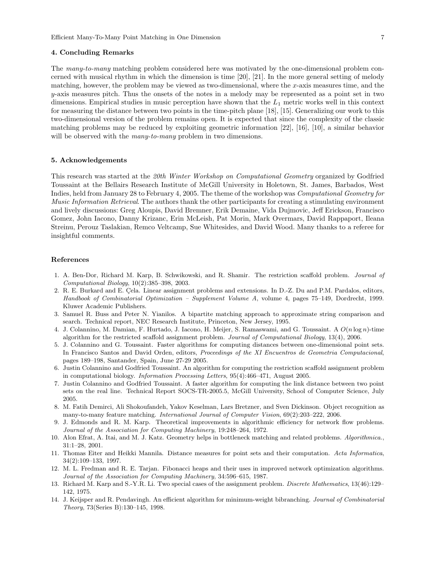### 4. Concluding Remarks

The many-to-many matching problem considered here was motivated by the one-dimensional problem concerned with musical rhythm in which the dimension is time [20], [21]. In the more general setting of melody matching, however, the problem may be viewed as two-dimensional, where the x-axis measures time, and the y-axis measures pitch. Thus the onsets of the notes in a melody may be represented as a point set in two dimensions. Empirical studies in music perception have shown that the  $L_1$  metric works well in this context for measuring the distance between two points in the time-pitch plane [18], [15]. Generalizing our work to this two-dimensional version of the problem remains open. It is expected that since the complexity of the classic matching problems may be reduced by exploiting geometric information [22], [16], [10], a similar behavior will be observed with the *many-to-many* problem in two dimensions.

#### 5. Acknowledgements

This research was started at the 20th Winter Workshop on Computational Geometry organized by Godfried Toussaint at the Bellairs Research Institute of McGill University in Holetown, St. James, Barbados, West Indies, held from January 28 to February 4, 2005. The theme of the workshop was Computational Geometry for Music Information Retrieval. The authors thank the other participants for creating a stimulating environment and lively discussions: Greg Aloupis, David Bremner, Erik Demaine, Vida Dujmovic, Jeff Erickson, Francisco Gomez, John Iacono, Danny Krizanc, Erin McLeish, Pat Morin, Mark Overmars, David Rappaport, Ileana Streinu, Perouz Taslakian, Remco Veltcamp, Sue Whitesides, and David Wood. Many thanks to a referee for insightful comments.

#### References

- 1. A. Ben-Dor, Richard M. Karp, B. Schwikowski, and R. Shamir. The restriction scaffold problem. Journal of Computational Biology, 10(2):385–398, 2003.
- 2. R. E. Burkard and E. Çela. Linear assignment problems and extensions. In D.-Z. Du and P.M. Pardalos, editors, Handbook of Combinatorial Optimization – Supplement Volume A, volume 4, pages 75–149, Dordrecht, 1999. Kluwer Academic Publishers.
- 3. Samuel R. Buss and Peter N. Yianilos. A bipartite matching approach to approximate string comparison and search. Technical report, NEC Research Institute, Princeton, New Jersey, 1995.
- 4. J. Colannino, M. Damian, F. Hurtado, J. Iacono, H. Meijer, S. Ramaswami, and G. Toussaint. A O(n log n)-time algorithm for the restricted scaffold assignment problem. Journal of Computational Biology, 13(4), 2006.
- 5. J. Colannino and G. Toussaint. Faster algorithms for computing distances between one-dimensional point sets. In Francisco Santos and David Orden, editors, Proceedings of the XI Encuentros de Geometria Computacional, pages 189–198, Santander, Spain, June 27-29 2005.
- 6. Justin Colannino and Godfried Toussaint. An algorithm for computing the restriction scaffold assignment problem in computational biology. Information Processing Letters, 95(4):466–471, August 2005.
- 7. Justin Colannino and Godfried Toussaint. A faster algorithm for computing the link distance between two point sets on the real line. Technical Report SOCS-TR-2005.5, McGill University, School of Computer Science, July 2005.
- 8. M. Fatih Demirci, Ali Shokoufandeh, Yakov Keselman, Lars Bretzner, and Sven Dickinson. Object recognition as many-to-many feature matching. International Journal of Computer Vision, 69(2):203–222, 2006.
- 9. J. Edmonds and R. M. Karp. Theoretical improvements in algorithmic efficiency for network flow problems. Journal of the Association for Computing Machinery, 19:248–264, 1972.
- 10. Alon Efrat, A. Itai, and M. J. Katz. Geometry helps in bottleneck matching and related problems. Algorithmica., 31:1–28, 2001.
- 11. Thomas Eiter and Heikki Mannila. Distance measures for point sets and their computation. Acta Informatica, 34(2):109–133, 1997.
- 12. M. L. Fredman and R. E. Tarjan. Fibonacci heaps and their uses in improved network optimization algorithms. Journal of the Association for Computing Machinery, 34:596–615, 1987.
- 13. Richard M. Karp and S.-Y.R. Li. Two special cases of the assignment problem. Discrete Mathematics, 13(46):129– 142, 1975.
- 14. J. Keijsper and R. Pendavingh. An efficient algorithm for minimum-weight bibranching. Journal of Combinatorial Theory, 73(Series B):130–145, 1998.